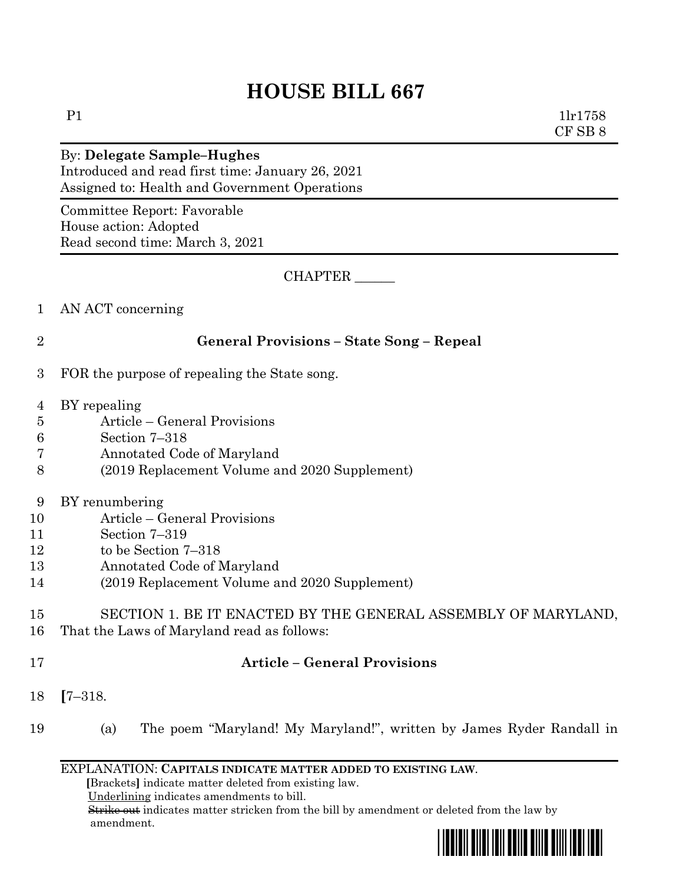# P1 1lr1758 CF SB 8 By: **Delegate Sample–Hughes** Introduced and read first time: January 26, 2021 Assigned to: Health and Government Operations

Committee Report: Favorable House action: Adopted Read second time: March 3, 2021

CHAPTER \_\_\_\_\_\_

- 1 AN ACT concerning
- 

## 2 **General Provisions – State Song – Repeal**

- 3 FOR the purpose of repealing the State song.
- 4 BY repealing
- 5 Article General Provisions
- 6 Section 7–318
- 7 Annotated Code of Maryland
- 8 (2019 Replacement Volume and 2020 Supplement)
- 9 BY renumbering
- 10 Article General Provisions
- 11 Section 7–319
- 12 to be Section 7–318
- 13 Annotated Code of Maryland
- 14 (2019 Replacement Volume and 2020 Supplement)

# 15 SECTION 1. BE IT ENACTED BY THE GENERAL ASSEMBLY OF MARYLAND, 16 That the Laws of Maryland read as follows:

# 17 **Article – General Provisions**

- 18 **[**7–318.
- 19 (a) The poem "Maryland! My Maryland!", written by James Ryder Randall in

### EXPLANATION: **CAPITALS INDICATE MATTER ADDED TO EXISTING LAW**.

 **[**Brackets**]** indicate matter deleted from existing law.

Underlining indicates amendments to bill.

 Strike out indicates matter stricken from the bill by amendment or deleted from the law by amendment.

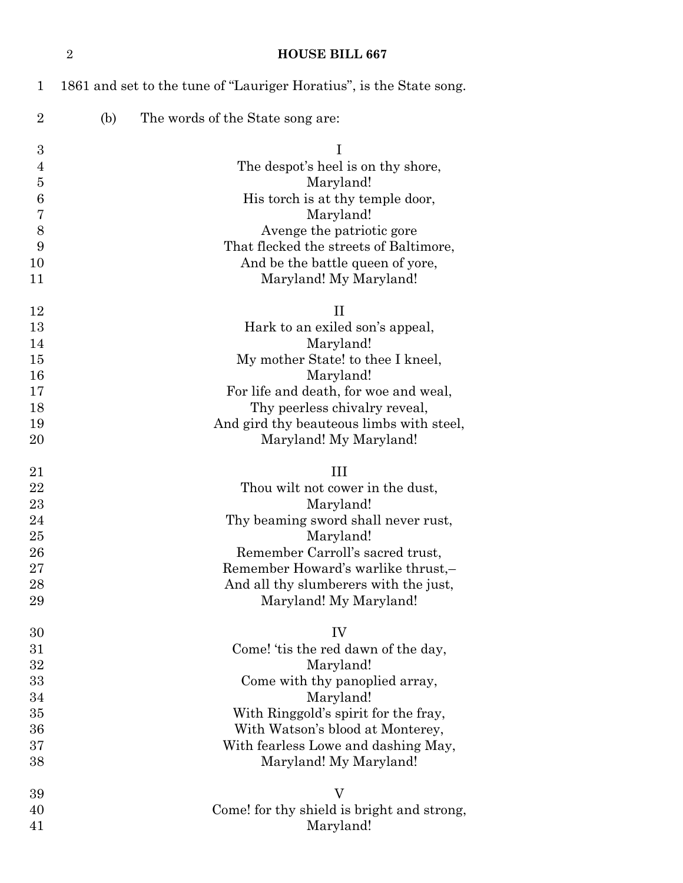| $\mathbf 1$      | 1861 and set to the tune of "Lauriger Horatius", is the State song. |
|------------------|---------------------------------------------------------------------|
| $\boldsymbol{2}$ | The words of the State song are:<br>(b)                             |
| 3                | I                                                                   |
| $\overline{4}$   | The despot's heel is on thy shore,                                  |
| $\overline{5}$   | Maryland!                                                           |
| 6                | His torch is at thy temple door,                                    |
| 7                | Maryland!                                                           |
| 8                | Avenge the patriotic gore                                           |
| 9                | That flecked the streets of Baltimore,                              |
| 10               |                                                                     |
|                  | And be the battle queen of yore,                                    |
| 11               | Maryland! My Maryland!                                              |
| 12               | $_{\rm II}$                                                         |
| 13               | Hark to an exiled son's appeal,                                     |
| 14               | Maryland!                                                           |
| 15               | My mother State! to thee I kneel,                                   |
| 16               | Maryland!                                                           |
| 17               | For life and death, for woe and weal,                               |
| 18               | Thy peerless chivalry reveal,                                       |
| 19               | And gird thy beauteous limbs with steel,                            |
| 20               | Maryland! My Maryland!                                              |
|                  |                                                                     |
| 21               | Ш                                                                   |
| 22               | Thou wilt not cower in the dust,                                    |
| 23               | Maryland!                                                           |
| 24               | Thy beaming sword shall never rust,                                 |
| 25               | Maryland!                                                           |
| 26               | Remember Carroll's sacred trust,                                    |
| 27               | Remember Howard's warlike thrust,-                                  |
| 28               | And all thy slumberers with the just,                               |
| 29               | Maryland! My Maryland!                                              |
| 30               | IV                                                                  |
| 31               |                                                                     |
|                  |                                                                     |
|                  | Come! 'tis the red dawn of the day,                                 |
| $32\,$           | Maryland!                                                           |
| 33               | Come with thy panoplied array,                                      |
| 34               | Maryland!                                                           |
| 35               | With Ringgold's spirit for the fray,                                |
| 36               | With Watson's blood at Monterey,                                    |
| 37               | With fearless Lowe and dashing May,                                 |
| 38               | Maryland! My Maryland!                                              |
| 39               | $\rm V$                                                             |
| 40               | Come! for thy shield is bright and strong,                          |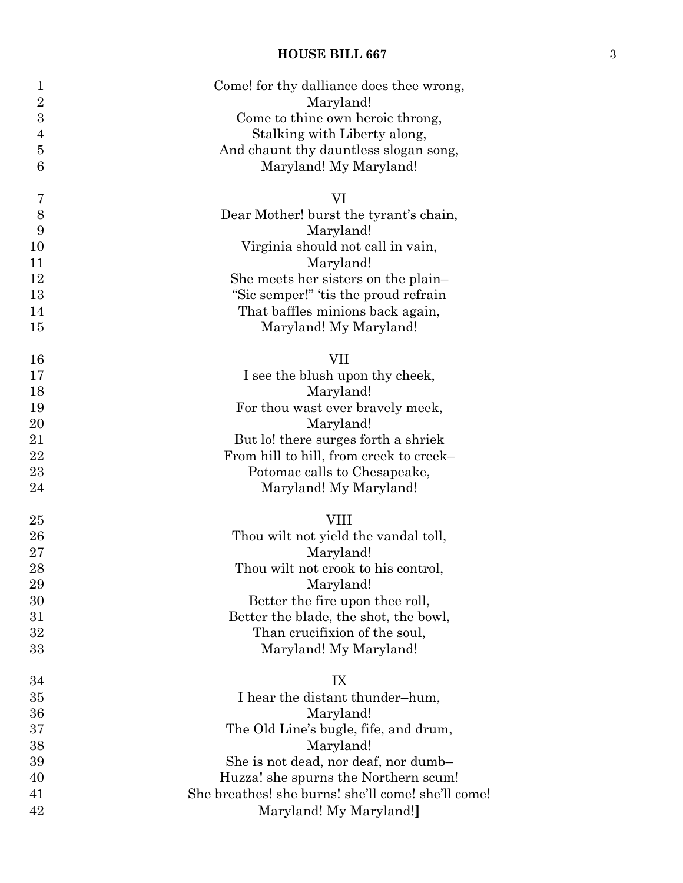| $\mathbf 1$    | Come! for thy dalliance does thee wrong,           |
|----------------|----------------------------------------------------|
| $\overline{2}$ | Maryland!                                          |
| 3              | Come to thine own heroic throng,                   |
| $\overline{4}$ | Stalking with Liberty along,                       |
| $\overline{5}$ | And chaunt thy dauntless slogan song,              |
| 6              | Maryland! My Maryland!                             |
|                |                                                    |
| 7              | VI                                                 |
| 8              | Dear Mother! burst the tyrant's chain,             |
| 9              | Maryland!                                          |
| 10             | Virginia should not call in vain,                  |
| 11             | Maryland!                                          |
| 12             | She meets her sisters on the plain-                |
| 13             | "Sic semper!" 'tis the proud refrain               |
| 14             | That baffles minions back again,                   |
| 15             | Maryland! My Maryland!                             |
|                | VII                                                |
| 16<br>17       | I see the blush upon thy cheek,                    |
| 18             | Maryland!                                          |
| 19             | For thou wast ever bravely meek,                   |
| 20             | Maryland!                                          |
| 21             | But lo! there surges forth a shriek                |
| 22             | From hill to hill, from creek to creek-            |
| 23             | Potomac calls to Chesapeake,                       |
| 24             | Maryland! My Maryland!                             |
|                |                                                    |
| 25             | <b>VIII</b>                                        |
| 26             | Thou wilt not yield the vandal toll,               |
| 27             | Maryland!                                          |
| 28             | Thou wilt not crook to his control,                |
| 29             | Maryland!                                          |
| 30             | Better the fire upon thee roll,                    |
| 31             | Better the blade, the shot, the bowl,              |
| 32             | Than crucifixion of the soul,                      |
| 33             | Maryland! My Maryland!                             |
| 34             | IX                                                 |
| 35             | I hear the distant thunder-hum,                    |
| 36             | Maryland!                                          |
| 37             | The Old Line's bugle, fife, and drum,              |
| 38             | Maryland!                                          |
| 39             | She is not dead, nor deaf, nor dumb-               |
| 40             | Huzza! she spurns the Northern scum!               |
| 41             | She breathes! she burns! she'll come! she'll come! |
| 42             | Maryland! My Maryland!                             |
|                |                                                    |